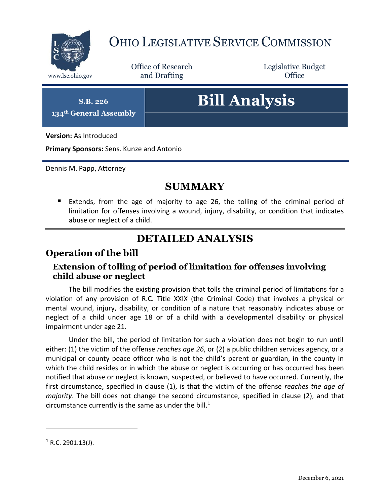

## OHIO LEGISLATIVE SERVICE COMMISSION

Office of Research www.lsc.ohio.gov **and Drafting Office** 

Legislative Budget

**S.B. 226**

**134th General Assembly**

# **Bill Analysis**

**Version:** As Introduced

**Primary Sponsors:** Sens. Kunze and Antonio

Dennis M. Papp, Attorney

## **SUMMARY**

 Extends, from the age of majority to age 26, the tolling of the criminal period of limitation for offenses involving a wound, injury, disability, or condition that indicates abuse or neglect of a child.

## **DETAILED ANALYSIS**

#### **Operation of the bill**

#### **Extension of tolling of period of limitation for offenses involving child abuse or neglect**

The bill modifies the existing provision that tolls the criminal period of limitations for a violation of any provision of R.C. Title XXIX (the Criminal Code) that involves a physical or mental wound, injury, disability, or condition of a nature that reasonably indicates abuse or neglect of a child under age 18 or of a child with a developmental disability or physical impairment under age 21.

Under the bill, the period of limitation for such a violation does not begin to run until either: (1) the victim of the offense *reaches age 26*, or (2) a public children services agency, or a municipal or county peace officer who is not the child's parent or guardian, in the county in which the child resides or in which the abuse or neglect is occurring or has occurred has been notified that abuse or neglect is known, suspected, or believed to have occurred. Currently, the first circumstance, specified in clause (1), is that the victim of the offense *reaches the age of majority*. The bill does not change the second circumstance, specified in clause (2), and that circumstance currently is the same as under the bill. $1$ 

 $\overline{a}$ 

 $1$  R.C. 2901.13(J).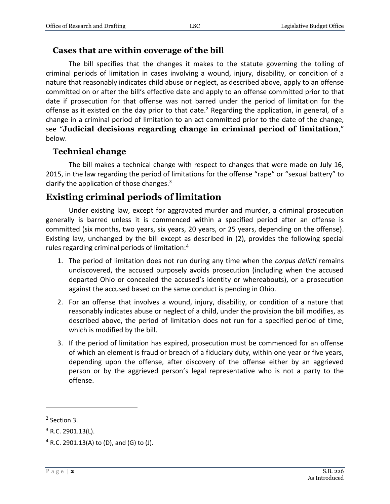#### **Cases that are within coverage of the bill**

The bill specifies that the changes it makes to the statute governing the tolling of criminal periods of limitation in cases involving a wound, injury, disability, or condition of a nature that reasonably indicates child abuse or neglect, as described above, apply to an offense committed on or after the bill's effective date and apply to an offense committed prior to that date if prosecution for that offense was not barred under the period of limitation for the offense as it existed on the day prior to that date.<sup>2</sup> Regarding the application, in general, of a change in a criminal period of limitation to an act committed prior to the date of the change, see "**Judicial decisions regarding change in criminal period of limitation**," below.

#### **Technical change**

The bill makes a technical change with respect to changes that were made on July 16, 2015, in the law regarding the period of limitations for the offense "rape" or "sexual battery" to clarify the application of those changes. $3$ 

#### **Existing criminal periods of limitation**

Under existing law, except for aggravated murder and murder, a criminal prosecution generally is barred unless it is commenced within a specified period after an offense is committed (six months, two years, six years, 20 years, or 25 years, depending on the offense). Existing law, unchanged by the bill except as described in (2), provides the following special rules regarding criminal periods of limitation:<sup>4</sup>

- 1. The period of limitation does not run during any time when the *corpus delicti* remains undiscovered, the accused purposely avoids prosecution (including when the accused departed Ohio or concealed the accused's identity or whereabouts), or a prosecution against the accused based on the same conduct is pending in Ohio.
- 2. For an offense that involves a wound, injury, disability, or condition of a nature that reasonably indicates abuse or neglect of a child, under the provision the bill modifies, as described above, the period of limitation does not run for a specified period of time, which is modified by the bill.
- 3. If the period of limitation has expired, prosecution must be commenced for an offense of which an element is fraud or breach of a fiduciary duty, within one year or five years, depending upon the offense, after discovery of the offense either by an aggrieved person or by the aggrieved person's legal representative who is not a party to the offense.

 $\overline{a}$ 

<sup>&</sup>lt;sup>2</sup> Section 3.

 $3$  R.C. 2901.13(L).

 $4$  R.C. 2901.13(A) to (D), and (G) to (J).